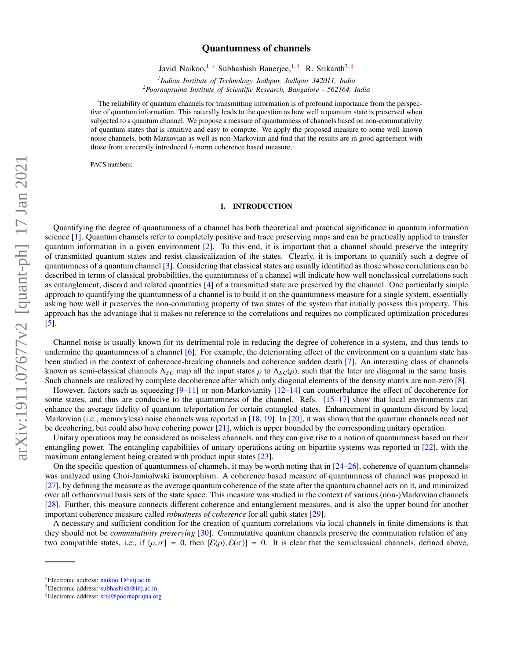# arXiv:1911.07677v2 [quant-ph] 17 Jan 2021 arXiv:1911.07677v2 [quant-ph] 17 Jan 2021

# Quantumness of channels

Javid Naikoo,<sup>1,\*</sup> Subhashish Banerjee,<sup>1,†</sup> R. Srikanth<sup>2,‡</sup>

*1 Indian Institute of Technology Jodhpur, Jodhpur 342011, India <sup>2</sup>Poornaprajna Institute of Scientific Research, Bangalore - 562164, India*

The reliability of quantum channels for transmitting information is of profound importance from the perspective of quantum information. This naturally leads to the question as how well a quantum state is preserved when subjected to a quantum channel. We propose a measure of quantumness of channels based on non-commutativity of quantum states that is intuitive and easy to compute. We apply the proposed measure to some well known noise channels, both Markovian as well as non-Markovian and find that the results are in good agreement with those from a recently introduced  $l_1$ -norm coherence based measure.

PACS numbers:

## I. INTRODUCTION

Quantifying the degree of quantumness of a channel has both theoretical and practical significance in quantum information science [1]. Quantum channels refer to completely positive and trace preserving maps and can be practically applied to transfer quantum information in a given environment [2]. To this end, it is important that a channel should preserve the integrity of transmitted quantum states and resist classicalization of the states. Clearly, it is important to quantify such a degree of quantumness of a quantum channel [3]. Considering that classical states are usually identified as those whose correlations can be described in terms of classical probabilities, the quantumness of a channel will indicate how well nonclassical correlations such as entanglement, discord and related quantities [4] of a transmitted state are preserved by the channel. One particularly simple approach to quantifying the quantumness of a channel is to build it on the quantumness measure for a single system, essentially asking how well it preserves the non-commuting property of two states of the system that initially possess this property. This approach has the advantage that it makes no reference to the correlations and requires no complicated optimization procedures [5].

Channel noise is usually known for its detrimental role in reducing the degree of coherence in a system, and thus tends to undermine the quantumness of a channel  $[6]$ . For example, the deteriorating effect of the environment on a quantum state has been studied in the context of coherence-breaking channels and coherence sudden death [7]. An interesting class of channels known as semi-classical channels  $\Lambda_{SC}$  map all the input states  $\rho$  to  $\Lambda_{SC}(\rho)$ , such that the later are diagonal in the same basis. Such channels are realized by complete decoherence after which only diagonal elements of the density matrix are non-zero [8].

However, factors such as squeezing  $[9-11]$  or non-Markovianity  $[12-14]$  can counterbalance the effect of decoherence for some states, and thus are conducive to the quantumness of the channel. Refs. [15–17] show that local environments can enhance the average fidelity of quantum teleportation for certain entangled states. Enhancement in quantum discord by local Markovian (i.e., memoryless) noise channels was reported in [18, 19]. In [20], it was shown that the quantum channels need not be decohering, but could also have cohering power [21], which is upper bounded by the corresponding unitary operation.

Unitary operations may be considered as noiseless channels, and they can give rise to a notion of quantumness based on their entangling power. The entangling capabilities of unitary operations acting on bipartite systems was reported in [22], with the maximum entanglement being created with product input states [23].

On the specific question of quantumness of channels, it may be worth noting that in [24–26], coherence of quantum channels was analyzed using Choi-Jamiolwski isomorphism. A coherence based measure of quantumness of channel was proposed in [27], by defining the measure as the average quantum coherence of the state after the quantum channel acts on it, and minimized over all orthonormal basis sets of the state space. This measure was studied in the context of various (non-)Markovian channels [28]. Further, this measure connects different coherence and entanglement measures, and is also the upper bound for another important coherence measure called *robustness of coherence* for all qubit states [29].

A necessary and sufficient condition for the creation of quantum correlations via local channels in finite dimensions is that they should not be *commutativity preserving* [30]. Commutative quantum channels preserve the commutation relation of any two compatible states, i.e., if  $[\rho, \sigma] = 0$ , then  $[\mathcal{E}(\rho), \mathcal{E}(\sigma)] = 0$ . It is clear that the semiclassical channels, defined above,

<sup>∗</sup>Electronic address: naikoo.1@iitj.ac.in

<sup>†</sup>Electronic address: subhashish@iitj.ac.in

<sup>‡</sup>Electronic address: srik@poornaprajna.org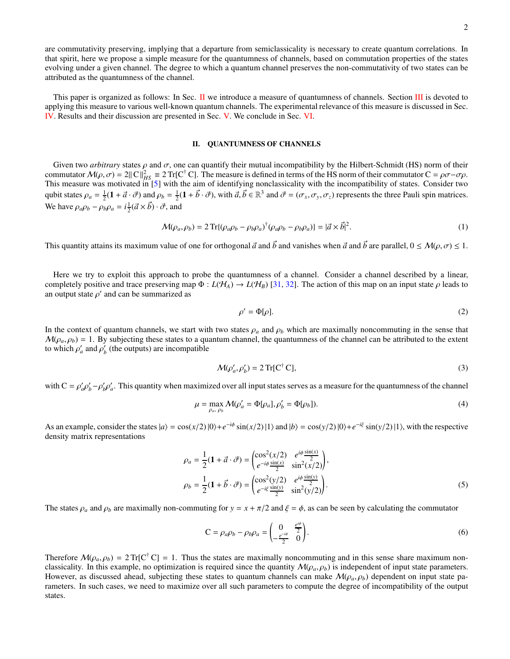are commutativity preserving, implying that a departure from semiclassicality is necessary to create quantum correlations. In that spirit, here we propose a simple measure for the quantumness of channels, based on commutation properties of the states evolving under a given channel. The degree to which a quantum channel preserves the non-commutativity of two states can be attributed as the quantumness of the channel.

This paper is organized as follows: In Sec. II we introduce a measure of quantumness of channels. Section III is devoted to applying this measure to various well-known quantum channels. The experimental relevance of this measure is discussed in Sec. IV. Results and their discussion are presented in Sec. V. We conclude in Sec. VI.

### II. QUANTUMNESS OF CHANNELS

Given two *arbitrary* states  $\rho$  and  $\sigma$ , one can quantify their mutual incompatibility by the Hilbert-Schmidt (HS) norm of their commutator  $M(\rho, \sigma) = 2||C||_{HS}^2 \equiv 2 \text{ Tr}[C^{\dagger} C]$ . The measure is defined in terms of the HS norm of their commutator  $C = \rho \sigma - \sigma \rho$ . This measure was motivated in [5] with the aim of identifying nonclassicality with the incompatibility of states. Consider two qubit states  $\rho_a = \frac{1}{2}(\mathbf{1} + \vec{a} \cdot \vec{\sigma})$  and  $\rho_b = \frac{1}{2}(\mathbf{1} + \vec{b} \cdot \vec{\sigma})$ , with  $\vec{a}, \vec{b} \in \mathbb{R}^3$  and  $\vec{\sigma} = (\sigma_x, \sigma_y, \sigma_z)$  represents the three Pauli spin matrices. We have  $\rho_a \rho_b - \rho_b \rho_a = i \frac{1}{2} (\vec{a} \times \vec{b}) \cdot \vec{\sigma}$ , and

$$
\mathcal{M}(\rho_a, \rho_b) = 2 \operatorname{Tr} \{ (\rho_a \rho_b - \rho_b \rho_a)^\dagger (\rho_a \rho_b - \rho_b \rho_a) \} = |\vec{a} \times \vec{b}|^2. \tag{1}
$$

This quantity attains its maximum value of one for orthogonal  $\vec{a}$  and  $\vec{b}$  and vanishes when  $\vec{a}$  and  $\vec{b}$  are parallel,  $0 \leq M(\rho, \sigma) \leq 1$ .

Here we try to exploit this approach to probe the quantumness of a channel. Consider a channel described by a linear, completely positive and trace preserving map  $\Phi : L(\mathcal{H}_A) \to L(\mathcal{H}_B)$  [31, 32]. The action of this map on an input state  $\rho$  leads to an output state  $\rho'$  and can be summarized as

$$
\rho' = \Phi[\rho].\tag{2}
$$

In the context of quantum channels, we start with two states  $\rho_a$  and  $\rho_b$  which are maximally noncommuting in the sense that  $M(\rho_a, \rho_b) = 1$ . By subjecting these states to a quantum channel, the quantumness of the channel can be attributed to the extent to which  $\rho'_a$  and  $\rho'_b$  (the outputs) are incompatible

$$
\mathcal{M}(\rho_a', \rho_b') = 2 \operatorname{Tr}[\mathbf{C}^\dagger \mathbf{C}],\tag{3}
$$

with  $C = \rho'_a \rho'_b - \rho'_b \rho'_a$ . This quantity when maximized over all input states serves as a measure for the quantumness of the channel

$$
\mu = \max_{\rho_a, \rho_b} \mathcal{M}(\rho_a' = \Phi[\rho_a], \rho_b' = \Phi[\rho_b]). \tag{4}
$$

As an example, consider the states  $|a\rangle = \cos(x/2)|0\rangle + e^{-i\phi}\sin(x/2)|1\rangle$  and  $|b\rangle = \cos(y/2)|0\rangle + e^{-i\xi}\sin(y/2)|1\rangle$ , with the respective density matrix representations

$$
\rho_a = \frac{1}{2} (\mathbf{1} + \vec{a} \cdot \vec{\sigma}) = \begin{pmatrix} \cos^2(x/2) & e^{i\phi} \frac{\sin(x)}{2} \\ e^{-i\phi} \frac{\sin(x)}{2} & \sin^2(x/2) \end{pmatrix}, \n\rho_b = \frac{1}{2} (\mathbf{1} + \vec{b} \cdot \vec{\sigma}) = \begin{pmatrix} \cos^2(y/2) & e^{i\phi} \frac{\sin(y)}{2} \\ e^{-i\xi} \frac{\sin(y)}{2} & \sin^2(y/2) \end{pmatrix}.
$$
\n(5)

The states  $\rho_a$  and  $\rho_b$  are maximally non-commuting for  $y = x + \pi/2$  and  $\xi = \phi$ , as can be seen by calculating the commutator

$$
C = \rho_a \rho_b - \rho_b \rho_a = \begin{pmatrix} 0 & \frac{e^{i\phi}}{2} \\ -\frac{e^{-i\phi}}{2} & 0 \end{pmatrix}.
$$
 (6)

Therefore  $\mathcal{M}(\rho_a, \rho_b) = 2 \text{Tr}[\mathbf{C}^\dagger \mathbf{C}] = 1$ . Thus the states are maximally noncommuting and in this sense share maximum nonclassicality. In this example, no optimization is required since the quantity  $M(\rho_a, \rho_b)$  is independent of input state parameters. However, as discussed ahead, subjecting these states to quantum channels can make  $\mathcal{M}(\rho_a, \rho_b)$  dependent on input state parameters. In such cases, we need to maximize over all such parameters to compute the degree of incompatibility of the output states.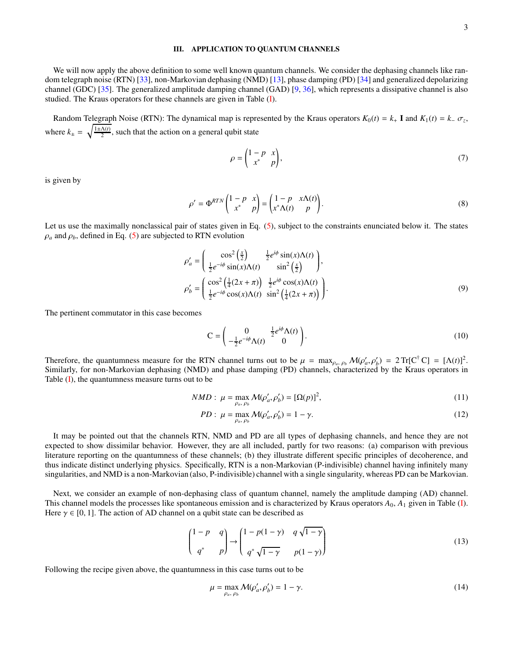### III. APPLICATION TO QUANTUM CHANNELS

We will now apply the above definition to some well known quantum channels. We consider the dephasing channels like random telegraph noise (RTN) [33], non-Markovian dephasing (NMD) [13], phase damping (PD) [34] and generalized depolarizing channel (GDC) [35]. The generalized amplitude damping channel (GAD) [9, 36], which represents a dissipative channel is also studied. The Kraus operators for these channels are given in Table (I).

Random Telegraph Noise (RTN): The dynamical map is represented by the Kraus operators  $K_0(t) = k_+ I$  and  $K_1(t) = k_-\sigma_z$ , where  $k_{\pm} = \sqrt{\frac{1 \pm \Lambda(t)}{2}}$ , such that the action on a general qubit state

$$
\rho = \begin{pmatrix} 1-p & x \\ x^* & p \end{pmatrix},\tag{7}
$$

is given by

$$
\rho' = \Phi^{RTN} \begin{pmatrix} 1-p & x \\ x^* & p \end{pmatrix} = \begin{pmatrix} 1-p & x\Lambda(t) \\ x^*\Lambda(t) & p \end{pmatrix}.
$$
\n(8)

Let us use the maximally nonclassical pair of states given in Eq. (5), subject to the constraints enunciated below it. The states  $\rho_a$  and  $\rho_b$ , defined in Eq. (5) are subjected to RTN evolution

$$
\rho'_{a} = \begin{pmatrix} \cos^{2}\left(\frac{x}{2}\right) & \frac{1}{2}e^{i\phi}\sin(x)\Lambda(t) \\ \frac{1}{2}e^{-i\phi}\sin(x)\Lambda(t) & \sin^{2}\left(\frac{x}{2}\right) \end{pmatrix},
$$
\n
$$
\rho'_{b} = \begin{pmatrix} \cos^{2}\left(\frac{1}{4}(2x+\pi)\right) & \frac{1}{2}e^{i\phi}\cos(x)\Lambda(t) \\ \frac{1}{2}e^{-i\phi}\cos(x)\Lambda(t) & \sin^{2}\left(\frac{1}{4}(2x+\pi)\right) \end{pmatrix}.
$$
\n(9)

The pertinent commutator in this case becomes

$$
C = \begin{pmatrix} 0 & \frac{1}{2}e^{i\phi}\Lambda(t) \\ -\frac{1}{2}e^{-i\phi}\Lambda(t) & 0 \end{pmatrix}.
$$
 (10)

Therefore, the quantumness measure for the RTN channel turns out to be  $\mu = \max_{\rho_a, \rho_b} \mathcal{M}(\rho'_a, \rho'_b) = 2 \text{Tr}[\mathbf{C}^\dagger \mathbf{C}] = [\Lambda(t)]^2$ . Similarly, for non-Markovian dephasing (NMD) and phase damping (PD) channels, characterized by the Kraus operators in Table (I), the quantumness measure turns out to be

$$
NMD: \mu = \max_{\rho_a, \rho_b} \mathcal{M}(\rho'_a, \rho'_b) = [\Omega(p)]^2,
$$
\n(11)

$$
PD: \ \mu = \max_{\rho_a, \ \rho_b} \mathcal{M}(\rho'_a, \rho'_b) = 1 - \gamma. \tag{12}
$$

It may be pointed out that the channels RTN, NMD and PD are all types of dephasing channels, and hence they are not expected to show dissimilar behavior. However, they are all included, partly for two reasons: (a) comparison with previous literature reporting on the quantumness of these channels; (b) they illustrate different specific principles of decoherence, and thus indicate distinct underlying physics. Specifically, RTN is a non-Markovian (P-indivisible) channel having infinitely many singularities, and NMD is a non-Markovian (also, P-indivisible) channel with a single singularity, whereas PD can be Markovian.

Next, we consider an example of non-dephasing class of quantum channel, namely the amplitude damping (AD) channel. This channel models the processes like spontaneous emission and is characterized by Kraus operators *A*0, *A*<sup>1</sup> given in Table (I). Here  $\gamma \in [0, 1]$ . The action of AD channel on a qubit state can be described as

$$
\begin{pmatrix} 1-p & q \\ q^* & p \end{pmatrix} \rightarrow \begin{pmatrix} 1-p(1-\gamma) & q\sqrt{1-\gamma} \\ q^*\sqrt{1-\gamma} & p(1-\gamma) \end{pmatrix}
$$
(13)

Following the recipe given above, the quantumness in this case turns out to be

$$
\mu = \max_{\rho_a, \rho_b} \mathcal{M}(\rho'_a, \rho'_b) = 1 - \gamma. \tag{14}
$$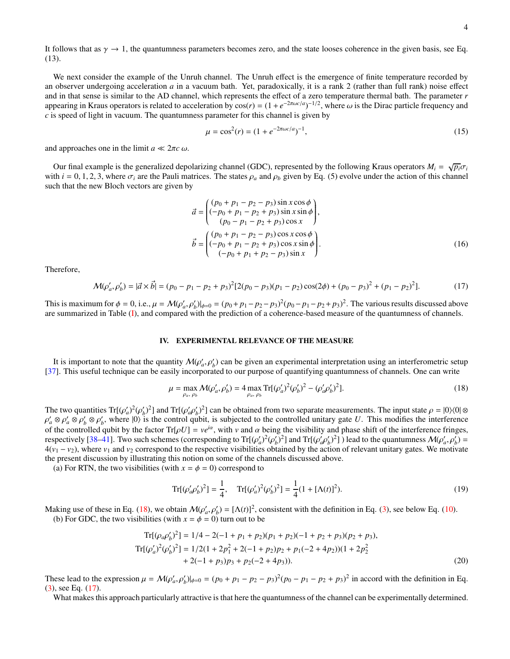It follows that as  $\gamma \to 1$ , the quantumness parameters becomes zero, and the state looses coherence in the given basis, see Eq. (13).

We next consider the example of the Unruh channel. The Unruh effect is the emergence of finite temperature recorded by an observer undergoing acceleration *a* in a vacuum bath. Yet, paradoxically, it is a rank 2 (rather than full rank) noise effect and in that sense is similar to the AD channel, which represents the effect of a zero temperature thermal bath. The parameter *r* appearing in Kraus operators is related to acceleration by  $cos(r) = (1 + e^{-2\pi \omega c/a})^{-1/2}$ , where  $\omega$  is the Dirac particle frequency and *c* is speed of light in vacuum. The quantumness parameter for this channel is given by

$$
\mu = \cos^2(r) = (1 + e^{-2\pi\omega c/a})^{-1},\tag{15}
$$

and approaches one in the limit  $a \ll 2\pi c \omega$ .

Our final example is the generalized depolarizing channel (GDC), represented by the following Kraus operators  $M_i = \sqrt{p_i} \sigma_i$ with  $i = 0, 1, 2, 3$ , where  $\sigma_i$  are the Pauli matrices. The states  $\rho_a$  and  $\rho_b$  given by Eq. (5) evolve under the action of this channel such that the new Bloch vectors are given by

$$
\vec{a} = \begin{pmatrix} (p_0 + p_1 - p_2 - p_3) \sin x \cos \phi \\ (-p_0 + p_1 - p_2 + p_3) \sin x \sin \phi \\ (p_0 - p_1 - p_2 + p_3) \cos x \end{pmatrix},
$$
  

$$
\vec{b} = \begin{pmatrix} (p_0 + p_1 - p_2 - p_3) \cos x \cos \phi \\ (-p_0 + p_1 - p_2 + p_3) \cos x \sin \phi \\ (-p_0 + p_1 + p_2 - p_3) \sin x \end{pmatrix}.
$$
 (16)

Therefore,

$$
\mathcal{M}(\rho_a', \rho_b') = |\vec{a} \times \vec{b}| = (p_0 - p_1 - p_2 + p_3)^2 [2(p_0 - p_3)(p_1 - p_2)\cos(2\phi) + (p_0 - p_3)^2 + (p_1 - p_2)^2].\tag{17}
$$

This is maximum for  $\phi = 0$ , i.e.,  $\mu = M(\rho'_a, \rho'_b)|_{\phi=0} = (p_0 + p_1 - p_2 - p_3)^2 (p_0 - p_1 - p_2 + p_3)^2$ . The various results discussed above are summarized in Table (I), and compared with the prediction of a coherence-based measure of the quantumness of channels.

### IV. EXPERIMENTAL RELEVANCE OF THE MEASURE

It is important to note that the quantity  $\mathcal{M}(\rho_a', \rho_b')$  can be given an experimental interpretation using an interferometric setup [37]. This useful technique can be easily incorporated to our purpose of quantifying quantumness of channels. One can write

$$
\mu = \max_{\rho_a, \rho_b} \mathcal{M}(\rho_a', \rho_b') = 4 \max_{\rho_a, \rho_b} \text{Tr}[(\rho_a')^2 (\rho_b')^2 - (\rho_a' \rho_b')^2]. \tag{18}
$$

The two quantities  $Tr[(\rho'_a)^2(\rho'_b)^2]$  and  $Tr[(\rho'_a \rho'_b)^2]$  can be obtained from two separate measurements. The input state  $\rho = |0\rangle\langle 0| \otimes$  $\rho'_a \otimes \rho'_b \otimes \rho'_b$ , where  $|0\rangle$  is the control qubit, is subjected to the controlled unitary gate *U*. This modifies the interference of the controlled qubit by the factor  $Tr[\rho U] = ve^{i\alpha}$ , with *v* and  $\alpha$  being the visibility and phase shift of the interference fringes, respectively [38–41]. Two such schemes (corresponding to  $Tr[(\rho_a^j)^2(\rho_b^j)^2]$  and  $Tr[(\rho_a^j \rho_b^j)^2]$ ) lead to the quantumness  $M(\rho_a^j, \rho_b^j)$  =  $4(v_1 - v_2)$ , where  $v_1$  and  $v_2$  correspond to the respective visibilities obtained by the action of relevant unitary gates. We motivate the present discussion by illustrating this notion on some of the channels discussed above.

(a) For RTN, the two visibilities (with  $x = \phi = 0$ ) correspond to

$$
\operatorname{Tr}[(\rho_a'\rho_b')^2] = \frac{1}{4}, \quad \operatorname{Tr}[(\rho_a')^2(\rho_b')^2] = \frac{1}{4}(1 + [\Lambda(t)]^2).
$$
 (19)

Making use of these in Eq. (18), we obtain  $\mathcal{M}(\rho_a', \rho_b') = [\Lambda(t)]^2$ , consistent with the definition in Eq. (3), see below Eq. (10). (b) For GDC, the two visibilities (with  $x = \phi = 0$ ) turn out to be

$$
\begin{aligned} \operatorname{Tr}[(\rho_a \rho'_b)^2] &= 1/4 - 2(-1 + p_1 + p_2)(p_1 + p_2)(-1 + p_2 + p_3)(p_2 + p_3), \\ \operatorname{Tr}[(\rho'_a)^2(\rho'_b)^2] &= 1/2(1 + 2p_1^2 + 2(-1 + p_2)p_2 + p_1(-2 + 4p_2))(1 + 2p_2^2 \\ &+ 2(-1 + p_3)p_3 + p_2(-2 + 4p_3)). \end{aligned} \tag{20}
$$

These lead to the expression  $\mu = \mathcal{M}(\rho'_a, \rho'_b)|_{\phi=0} = (p_0 + p_1 - p_2 - p_3)^2 (p_0 - p_1 - p_2 + p_3)^2$  in accord with the definition in Eq. (3), see Eq. (17).

What makes this approach particularly attractive is that here the quantumness of the channel can be experimentally determined.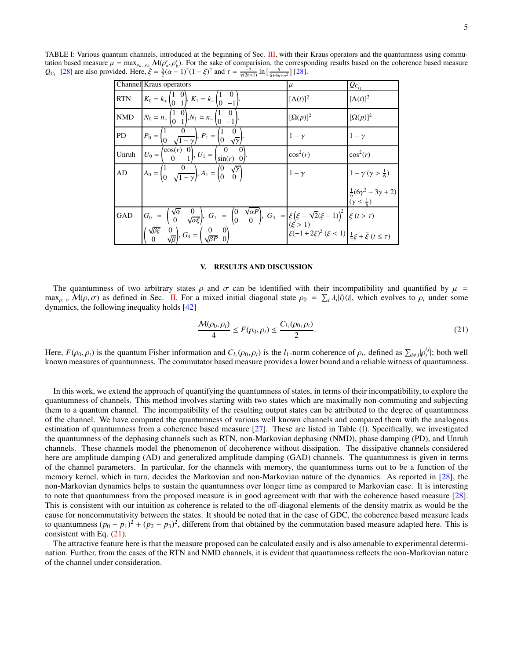|            | Channel Kraus operators                                                                                                                                                                                                                                                                                                                                                                           | $\mu$            | $Q_{C_l}$                                                         |
|------------|---------------------------------------------------------------------------------------------------------------------------------------------------------------------------------------------------------------------------------------------------------------------------------------------------------------------------------------------------------------------------------------------------|------------------|-------------------------------------------------------------------|
| <b>RTN</b> | $K_0 = k_+ \begin{pmatrix} 1 & 0 \\ 0 & 1 \end{pmatrix}, K_1 = k_- \begin{pmatrix} 1 & 0 \\ 0 & -1 \end{pmatrix}$                                                                                                                                                                                                                                                                                 | $[\Lambda(t)]^2$ | $[\Lambda(t)]^2$                                                  |
| <b>NMD</b> | $N_0 = n_+ \begin{pmatrix} 1 & 0 \\ 0 & 1 \end{pmatrix}, N_1 = n_- \begin{pmatrix} 1 & 0 \\ 0 & -1 \end{pmatrix}$                                                                                                                                                                                                                                                                                 | $[\Omega(p)]^2$  | $[\Omega(p)]^2$                                                   |
| <b>PD</b>  | $P_0 = \begin{pmatrix} 1 & 0 \\ 0 & \sqrt{1-\gamma} \end{pmatrix}, P_1 = \begin{pmatrix} 1 & 0 \\ 0 & \sqrt{\gamma} \end{pmatrix}.$                                                                                                                                                                                                                                                               | $1-\gamma$       | $1-\gamma$                                                        |
| Unruh      | $U_0 = \begin{pmatrix} \cos(r) & 0 \\ 0 & 1 \end{pmatrix}, U_1 = \begin{pmatrix} 0 & 0 \\ \sin(r) & 0 \end{pmatrix}.$                                                                                                                                                                                                                                                                             | $\cos^2(r)$      | $\cos^2(r)$                                                       |
| AD         | $A_0 = \begin{pmatrix} 1 & 0 \\ 0 & \sqrt{1-\gamma} \end{pmatrix}, A_1 = \begin{pmatrix} 0 & \sqrt{\gamma} \\ 0 & 0 \end{pmatrix}$                                                                                                                                                                                                                                                                | $1-\gamma$       | $1-\gamma(\gamma>\frac{1}{6})$                                    |
|            |                                                                                                                                                                                                                                                                                                                                                                                                   |                  | $\frac{1}{6}(6\gamma^2-3\gamma+2)$<br>$(\gamma \leq \frac{1}{6})$ |
|            | GAD $G_0 = \begin{pmatrix} \sqrt{\alpha} & 0 \\ 0 & \sqrt{\alpha \xi} \end{pmatrix}, G_1 = \begin{pmatrix} 0 & \sqrt{\alpha P} \\ 0 & 0 \end{pmatrix}, G_3 = \begin{pmatrix} \xi(\xi - \sqrt{2}(\xi - 1)) \\ (\xi > 1) \end{pmatrix} \xi(t > \tau)$<br>$\begin{pmatrix} \sqrt{\beta \xi} & 0 \\ 0 & \sqrt{\beta} \end{pmatrix}, G_4 = \begin{pmatrix} 0 & 0 \\ \sqrt{\beta P} & 0 \end{pmatrix}.$ |                  |                                                                   |
|            |                                                                                                                                                                                                                                                                                                                                                                                                   |                  |                                                                   |

TABLE I: Various quantum channels, introduced at the beginning of Sec. III, with their Kraus operators and the quantumness using commutation based measure  $\mu = \max_{\rho_a, \rho_b} \mathcal{M}(\rho'_a, \rho'_b)$ . For the sake of comparision, the corresponding results based on the coherence based measure  $Q_{C_{l_1}}$  [28] are also provided. Here,  $\tilde{\xi} = \frac{5}{2}(\alpha - 1)^2(1 - \xi)^2$  and  $\tau = \frac{2}{\gamma(2n+1)} \ln \left[\frac{5}{6+4n+n^2}\right]$  [28].

### V. RESULTS AND DISCUSSION

The quantumness of two arbitrary states  $\rho$  and  $\sigma$  can be identified with their incompatibility and quantified by  $\mu$  = max<sub>ρ, σ</sub>  $M(\rho, \sigma)$  as defined in Sec. II. For a mixed initial diagonal state  $\rho_0 = \sum_i \lambda_i |i\rangle\langle i|$ , which evolves to  $\rho_t$  under some dynamics, the following inequality holds [42]

$$
\frac{\mathcal{M}(\rho_0, \rho_t)}{4} \le F(\rho_0, \rho_t) \le \frac{C_{l_1}(\rho_0, \rho_t)}{2}.
$$
\n<sup>(21)</sup>

Here,  $F(\rho_0, \rho_t)$  is the quantum Fisher information and  $C_{l_1}(\rho_0, \rho_t)$  is the *l*<sub>1</sub>-norm coherence of  $\rho_t$ , defined as  $\sum_{i \neq j} |\rho_t^{ij}|$ ; both well known measures of quantumness. The commutator based measure provides a lower bound and a reliable witness of quantumness.

In this work, we extend the approach of quantifying the quantumness of states, in terms of their incompatibility, to explore the quantumness of channels. This method involves starting with two states which are maximally non-commuting and subjecting them to a quantum channel. The incompatibility of the resulting output states can be attributed to the degree of quantumness of the channel. We have computed the quantumness of various well known channels and compared them with the analogous estimation of quantumness from a coherence based measure [27]. These are listed in Table (I). Specifically, we investigated the quantumness of the dephasing channels such as RTN, non-Markovian dephasing (NMD), phase damping (PD), and Unruh channels. These channels model the phenomenon of decoherence without dissipation. The dissipative channels considered here are amplitude damping (AD) and generalized amplitude damping (GAD) channels. The quantumness is given in terms of the channel parameters. In particular, for the channels with memory, the quantumness turns out to be a function of the memory kernel, which in turn, decides the Markovian and non-Markovian nature of the dynamics. As reported in [28], the non-Markovian dynamics helps to sustain the quantumness over longer time as compared to Markovian case. It is interesting to note that quantumness from the proposed measure is in good agreement with that with the coherence based measure [28]. This is consistent with our intuition as coherence is related to the off-diagonal elements of the density matrix as would be the cause for noncommutativity between the states. It should be noted that in the case of GDC, the coherence based measure leads to quantumness  $(p_0 - p_1)^2 + (p_2 - p_3)^2$ , different from that obtained by the commutation based measure adapted here. This is consistent with Eq. (21).

The attractive feature here is that the measure proposed can be calculated easily and is also amenable to experimental determination. Further, from the cases of the RTN and NMD channels, it is evident that quantumness reflects the non-Markovian nature of the channel under consideration.